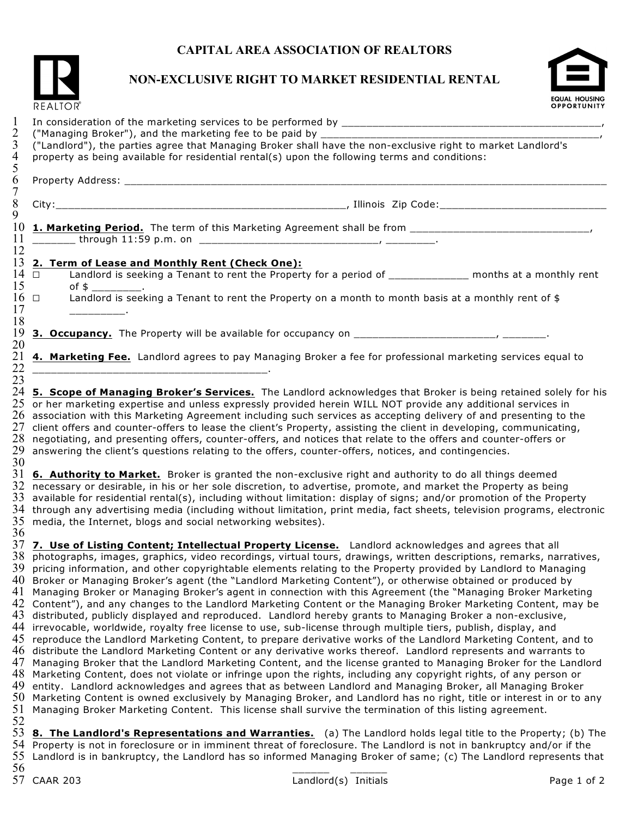## **CAPITAL AREA ASSOCIATION OF REALTORS**



## **NON-EXCLUSIVE RIGHT TO MARKET RESIDENTIAL RENTAL**



|    | <b>REALTOR®</b><br>OPPORTUNITY                                                                                               |  |  |  |
|----|------------------------------------------------------------------------------------------------------------------------------|--|--|--|
| 1  |                                                                                                                              |  |  |  |
| 2  |                                                                                                                              |  |  |  |
| 3  | ("Landlord"), the parties agree that Managing Broker shall have the non-exclusive right to market Landlord's                 |  |  |  |
| 4  | property as being available for residential rental(s) upon the following terms and conditions:                               |  |  |  |
| 5  |                                                                                                                              |  |  |  |
| 6  |                                                                                                                              |  |  |  |
| 7  |                                                                                                                              |  |  |  |
| 8  |                                                                                                                              |  |  |  |
| 9  |                                                                                                                              |  |  |  |
|    |                                                                                                                              |  |  |  |
| 11 |                                                                                                                              |  |  |  |
| 12 |                                                                                                                              |  |  |  |
|    |                                                                                                                              |  |  |  |
|    | 13 2. Term of Lease and Monthly Rent (Check One):                                                                            |  |  |  |
|    | Landlord is seeking a Tenant to rent the Property for a period of _____________ months at a monthly rent<br>$14$ $\Box$      |  |  |  |
| 15 | of $\frac{1}{2}$ _________.                                                                                                  |  |  |  |
|    | Landlord is seeking a Tenant to rent the Property on a month to month basis at a monthly rent of \$<br>$16$ $\Box$           |  |  |  |
| 17 |                                                                                                                              |  |  |  |
| 18 |                                                                                                                              |  |  |  |
|    |                                                                                                                              |  |  |  |
| 20 |                                                                                                                              |  |  |  |
| 21 | 4. Marketing Fee. Landlord agrees to pay Managing Broker a fee for professional marketing services equal to                  |  |  |  |
| 22 |                                                                                                                              |  |  |  |
| 23 |                                                                                                                              |  |  |  |
|    | 24 5. Scope of Managing Broker's Services. The Landlord acknowledges that Broker is being retained solely for his            |  |  |  |
|    | $25\;$ or her marketing expertise and unless expressly provided herein WILL NOT provide any additional services in           |  |  |  |
|    | $26\;$ association with this Marketing Agreement including such services as accepting delivery of and presenting to the      |  |  |  |
|    | $27\,$ client offers and counter-offers to lease the client's Property, assisting the client in developing, communicating,   |  |  |  |
|    | $28$ negotiating, and presenting offers, counter-offers, and notices that relate to the offers and counter-offers or         |  |  |  |
| 29 | answering the client's questions relating to the offers, counter-offers, notices, and contingencies.                         |  |  |  |
| 30 |                                                                                                                              |  |  |  |
|    | 31 6. Authority to Market. Broker is granted the non-exclusive right and authority to do all things deemed                   |  |  |  |
|    | $32\;$ necessary or desirable, in his or her sole discretion, to advertise, promote, and market the Property as being        |  |  |  |
|    | $33\,$ available for residential rental(s), including without limitation: display of signs; and/or promotion of the Property |  |  |  |
|    | 34 through any advertising media (including without limitation, print media, fact sheets, television programs, electronic    |  |  |  |
|    | $35$ media, the Internet, blogs and social networking websites).                                                             |  |  |  |
| 36 |                                                                                                                              |  |  |  |
|    | 37 7. Use of Listing Content; Intellectual Property License. Landlord acknowledges and agrees that all                       |  |  |  |
|    | $38\,$ photographs, images, graphics, video recordings, virtual tours, drawings, written descriptions, remarks, narratives,  |  |  |  |
|    | 39 pricing information, and other copyrightable elements relating to the Property provided by Landlord to Managing           |  |  |  |
|    | $40\;$ Broker or Managing Broker's agent (the "Landlord Marketing Content"), or otherwise obtained or produced by            |  |  |  |
|    | 41 Managing Broker or Managing Broker's agent in connection with this Agreement (the "Managing Broker Marketing              |  |  |  |
|    | 42 Content"), and any changes to the Landlord Marketing Content or the Managing Broker Marketing Content, may be             |  |  |  |
|    | $43\;$ distributed, publicly displayed and reproduced. Landlord hereby grants to Managing Broker a non-exclusive,            |  |  |  |
|    | $44\;$ irrevocable, worldwide, royalty free license to use, sub-license through multiple tiers, publish, display, and        |  |  |  |
|    | $45\;$ reproduce the Landlord Marketing Content, to prepare derivative works of the Landlord Marketing Content, and to       |  |  |  |
|    | $46\;$ distribute the Landlord Marketing Content or any derivative works thereof. $\;$ Landlord represents and warrants to   |  |  |  |
|    | 47 Managing Broker that the Landlord Marketing Content, and the license granted to Managing Broker for the Landlord          |  |  |  |
|    | $48\,$ Marketing Content, does not violate or infringe upon the rights, including any copyright rights, of any person or     |  |  |  |
| 50 | $49\;$ entity. $\;$ Landlord acknowledges and agrees that as between Landlord and Managing Broker, all Managing Broker       |  |  |  |
| 51 | Marketing Content is owned exclusively by Managing Broker, and Landlord has no right, title or interest in or to any         |  |  |  |
| 52 | Managing Broker Marketing Content. This license shall survive the termination of this listing agreement.                     |  |  |  |
|    | 53 <b>8. The Landlord's Representations and Warranties.</b> (a) The Landlord holds legal title to the Property: (b) The      |  |  |  |
|    |                                                                                                                              |  |  |  |

 **8. The Landlord's Representations and Warranties.** (a) The Landlord holds legal title to the Property; (b) The Property is not in foreclosure or in imminent threat of foreclosure. The Landlord is not in bankruptcy and/or if the Landlord is in bankruptcy, the Landlord has so informed Managing Broker of same; (c) The Landlord represents that \_\_\_\_\_\_\_\_ \_\_\_\_\_\_\_ \_\_\_\_\_\_\_\_ \_\_\_\_\_\_\_\_